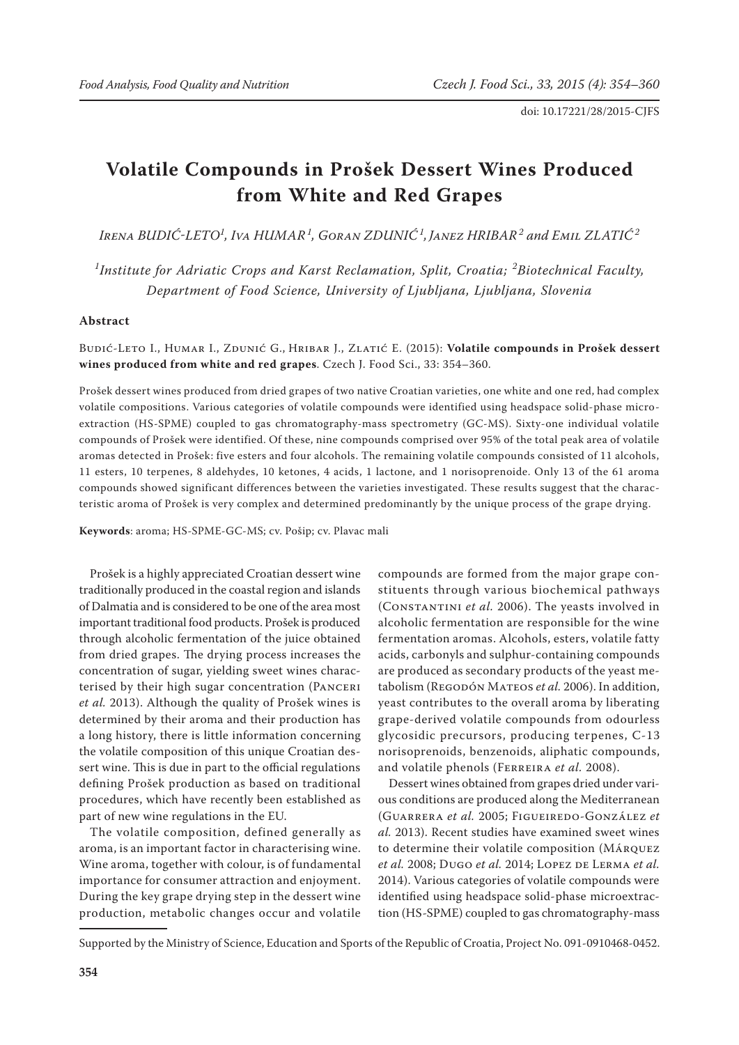# **Volatile Compounds in Prošek Dessert Wines Produced from White and Red Grapes**

*Irena BUDIĆ-LETO<sup>1</sup> , Iva HUMAR<sup>1</sup> , Goran ZDUNIĆ<sup>1</sup> , Janez HRIBAR<sup>2</sup> and Emil ZLATIĆ<sup>2</sup>*

<sup>1</sup>Institute for Adriatic Crops and Karst Reclamation, Split, Croatia; <sup>2</sup>Biotechnical Faculty, *Department of Food Science, University of Ljubljana, Ljubljana, Slovenia*

### **Abstract**

Budić-Leto I., Humar I., Zdunić G., Hribar J., Zlatić E. (2015): **Volatile compounds in Prošek dessert wines produced from white and red grapes**. Czech J. Food Sci., 33: 354–360.

Prošek dessert wines produced from dried grapes of two native Croatian varieties, one white and one red, had complex volatile compositions. Various categories of volatile compounds were identified using headspace solid-phase microextraction (HS-SPME) coupled to gas chromatography-mass spectrometry (GC-MS). Sixty-one individual volatile compounds of Prošek were identified. Of these, nine compounds comprised over 95% of the total peak area of volatile aromas detected in Prošek: five esters and four alcohols. The remaining volatile compounds consisted of 11 alcohols, 11 esters, 10 terpenes, 8 aldehydes, 10 ketones, 4 acids, 1 lactone, and 1 norisoprenoide. Only 13 of the 61 aroma compounds showed significant differences between the varieties investigated. These results suggest that the characteristic aroma of Prošek is very complex and determined predominantly by the unique process of the grape drying.

**Keywords**: aroma; HS-SPME-GC-MS; cv. Pošip; cv. Plavac mali

Prošek is a highly appreciated Croatian dessert wine traditionally produced in the coastal region and islands of Dalmatia and is considered to be one of the area most important traditional food products. Prošek is produced through alcoholic fermentation of the juice obtained from dried grapes. The drying process increases the concentration of sugar, yielding sweet wines characterised by their high sugar concentration (Panceri *et al.* 2013). Although the quality of Prošek wines is determined by their aroma and their production has a long history, there is little information concerning the volatile composition of this unique Croatian dessert wine. This is due in part to the official regulations defining Prošek production as based on traditional procedures, which have recently been established as part of new wine regulations in the EU.

The volatile composition, defined generally as aroma, is an important factor in characterising wine. Wine aroma, together with colour, is of fundamental importance for consumer attraction and enjoyment. During the key grape drying step in the dessert wine production, metabolic changes occur and volatile compounds are formed from the major grape constituents through various biochemical pathways (Constantini *et al.* 2006). The yeasts involved in alcoholic fermentation are responsible for the wine fermentation aromas. Alcohols, esters, volatile fatty acids, carbonyls and sulphur-containing compounds are produced as secondary products of the yeast metabolism (Regodón Mateos *et al.* 2006). In addition, yeast contributes to the overall aroma by liberating grape-derived volatile compounds from odourless glycosidic precursors, producing terpenes, C-13 norisoprenoids, benzenoids, aliphatic compounds, and volatile phenols (Ferreira *et al.* 2008).

Dessert wines obtained from grapes dried under various conditions are produced along the Mediterranean (Guarrera *et al.* 2005; Figueiredo-González *et al.* 2013). Recent studies have examined sweet wines to determine their volatile composition (Márquez *et al.* 2008; Dugo *et al.* 2014; LOPEZ DE LERMA *et al.* 2014). Various categories of volatile compounds were identified using headspace solid-phase microextraction (HS-SPME) coupled to gas chromatography-mass

Supported by the Ministry of Science, Education and Sports of the Republic of Croatia, Project No. 091-0910468-0452.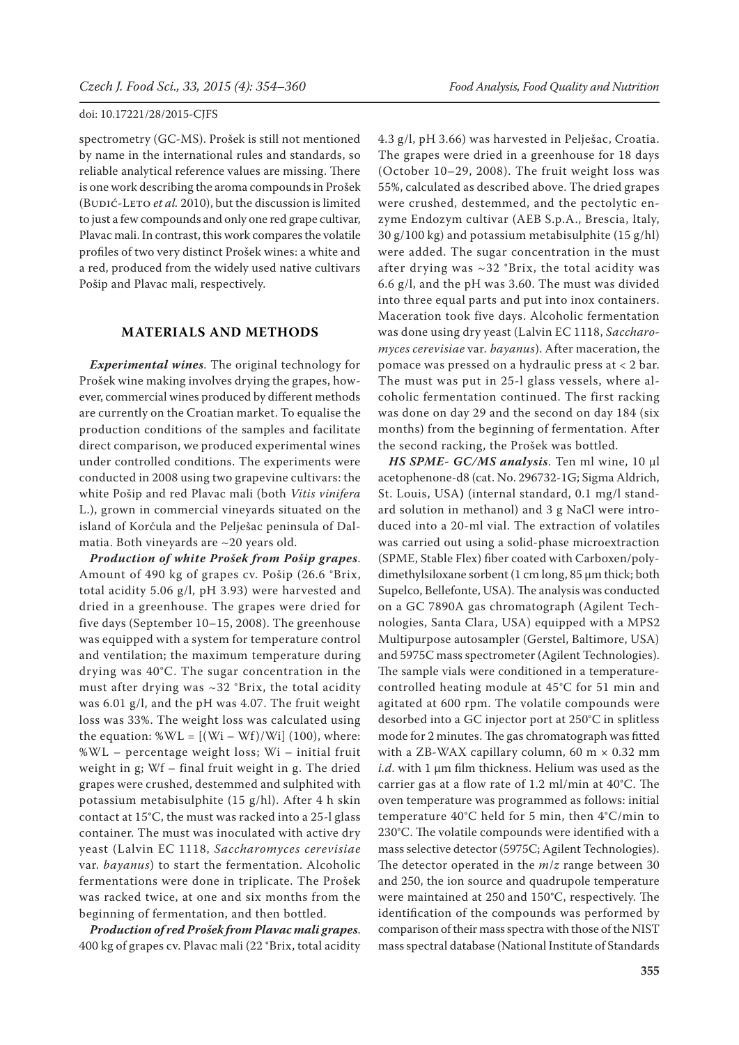spectrometry (GC-MS). Prošek is still not mentioned by name in the international rules and standards, so reliable analytical reference values are missing. There is one work describing the aroma compounds in Prošek (BUDIĆ-LETO et al. 2010), but the discussion is limited to just a few compounds and only one red grape cultivar, Plavac mali. In contrast, this work compares the volatile profiles of two very distinct Prošek wines: a white and a red, produced from the widely used native cultivars Pošip and Plavac mali, respectively.

## **MATERIALS AND METHODS**

*Experimental wines*. The original technology for Prošek wine making involves drying the grapes, however, commercial wines produced by different methods are currently on the Croatian market. To equalise the production conditions of the samples and facilitate direct comparison, we produced experimental wines under controlled conditions. The experiments were conducted in 2008 using two grapevine cultivars: the white Pošip and red Plavac mali (both *Vitis vinifera* L.), grown in commercial vineyards situated on the island of Korčula and the Pelješac peninsula of Dalmatia. Both vineyards are ~20 years old.

*Production of white Prošek from Pošip grapes*. Amount of 490 kg of grapes cv. Pošip (26.6 °Brix, total acidity 5.06 g/l, pH 3.93) were harvested and dried in a greenhouse. The grapes were dried for five days (September 10–15, 2008). The greenhouse was equipped with a system for temperature control and ventilation; the maximum temperature during drying was 40°C. The sugar concentration in the must after drying was  $\sim$ 32 °Brix, the total acidity was 6.01 g/l, and the pH was 4.07. The fruit weight loss was 33%. The weight loss was calculated using the equation:  $\mathcal{W}L = [(Wi - Wf)/Wi] (100)$ , where: %WL – percentage weight loss; Wi – initial fruit weight in g; Wf – final fruit weight in g. The dried grapes were crushed, destemmed and sulphited with potassium metabisulphite (15 g/hl). After 4 h skin contact at 15°C, the must was racked into a 25-l glass container. The must was inoculated with active dry yeast (Lalvin EC 1118, *Saccharomyces cerevisiae* var. *bayanus*) to start the fermentation. Alcoholic fermentations were done in triplicate. The Prošek was racked twice, at one and six months from the beginning of fermentation, and then bottled.

*Production of red Prošek from Plavac mali grapes*. 400 kg of grapes cv. Plavac mali (22 °Brix, total acidity 4.3 g/l, pH 3.66) was harvested in Pelješac, Croatia. The grapes were dried in a greenhouse for 18 days (October 10–29, 2008). The fruit weight loss was 55%, calculated as described above. The dried grapes were crushed, destemmed, and the pectolytic enzyme Endozym cultivar (AEB S.p.A., Brescia, Italy, 30 g/100 kg) and potassium metabisulphite (15 g/hl) were added. The sugar concentration in the must after drying was ~32 °Brix, the total acidity was 6.6 g/l, and the pH was 3.60. The must was divided into three equal parts and put into inox containers. Maceration took five days. Alcoholic fermentation was done using dry yeast (Lalvin EC 1118, *Saccharomyces cerevisiae* var*. bayanus*). After maceration, the pomace was pressed on a hydraulic press at < 2 bar. The must was put in 25-l glass vessels, where alcoholic fermentation continued. The first racking was done on day 29 and the second on day 184 (six months) from the beginning of fermentation. After the second racking, the Prošek was bottled.

*HS SPME- GC/MS analysis*. Ten ml wine, 10 μl acetophenone-d8 (cat. No. 296732-1G; Sigma Aldrich, St. Louis, USA**)** (internal standard, 0.1 mg/l standard solution in methanol) and 3 g NaCl were introduced into a 20-ml vial. The extraction of volatiles was carried out using a solid-phase microextraction (SPME, Stable Flex) fiber coated with Carboxen/polydimethylsiloxane sorbent (1 cm long, 85 μm thick; both Supelco, Bellefonte, USA). The analysis was conducted on a GC 7890A gas chromatograph (Agilent Technologies, Santa Clara, USA) equipped with a MPS2 Multipurpose autosampler (Gerstel, Baltimore, USA) and 5975C mass spectrometer (Agilent Technologies). The sample vials were conditioned in a temperaturecontrolled heating module at 45°C for 51 min and agitated at 600 rpm. The volatile compounds were desorbed into a GC injector port at 250°C in splitless mode for 2 minutes. The gas chromatograph was fitted with a ZB-WAX capillary column, 60 m  $\times$  0.32 mm *i.d*. with 1 μm film thickness. Helium was used as the carrier gas at a flow rate of 1.2 ml/min at 40°C. The oven temperature was programmed as follows: initial temperature 40°C held for 5 min, then 4°C/min to 230°C. The volatile compounds were identified with a mass selective detector (5975C; Agilent Technologies). The detector operated in the *m*/*z* range between 30 and 250, the ion source and quadrupole temperature were maintained at 250 and 150°C, respectively. The identification of the compounds was performed by comparison of their mass spectra with those of the NIST mass spectral database (National Institute of Standards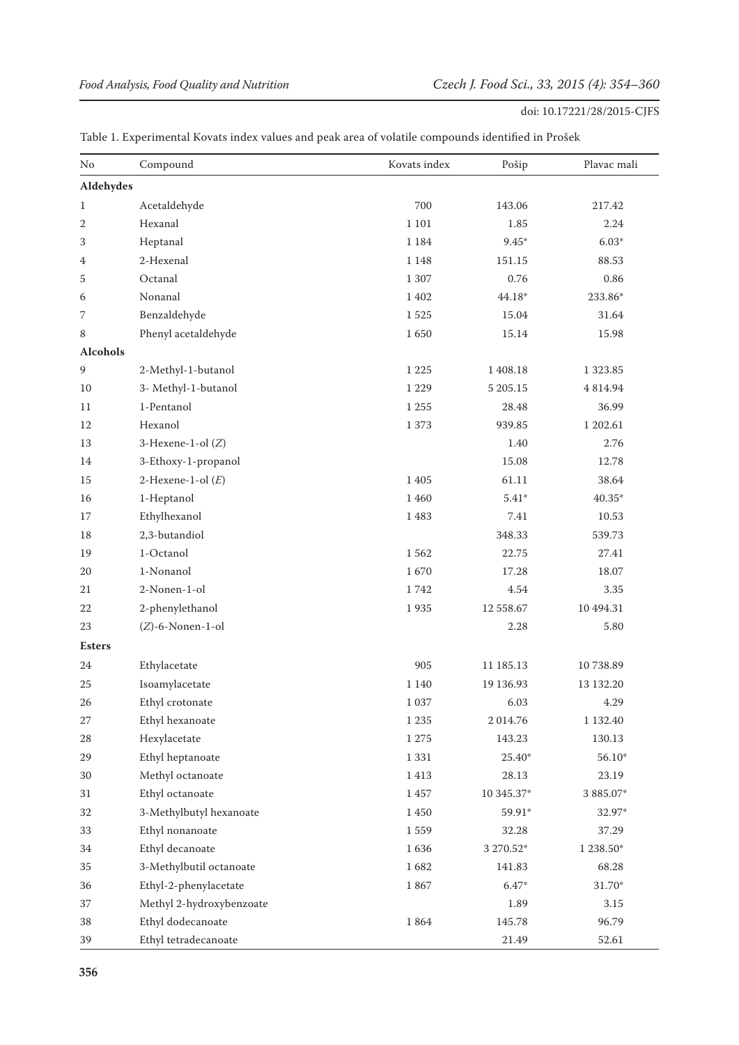| No              | Compound                 | Kovats index | Pošip       | Plavac mali   |
|-----------------|--------------------------|--------------|-------------|---------------|
| Aldehydes       |                          |              |             |               |
| 1               | Acetaldehyde             | 700          | 143.06      | 217.42        |
| 2               | Hexanal                  | 1 1 0 1      | 1.85        | 2.24          |
| 3               | Heptanal                 | 1 1 8 4      | $9.45*$     | $6.03*$       |
| 4               | 2-Hexenal                | 1 1 4 8      | 151.15      | 88.53         |
| 5               | Octanal                  | 1 307        | 0.76        | 0.86          |
| 6               | Nonanal                  | 1 4 0 2      | $44.18*$    | 233.86*       |
| 7               | Benzaldehyde             | 1525         | 15.04       | 31.64         |
| 8               | Phenyl acetaldehyde      | 1650         | 15.14       | 15.98         |
| <b>Alcohols</b> |                          |              |             |               |
| 9               | 2-Methyl-1-butanol       | 1 2 2 5      | 1 408.18    | 1 3 2 3 . 8 5 |
| 10              | 3- Methyl-1-butanol      | 1 2 2 9      | 5 205.15    | 4 814.94      |
| 11              | 1-Pentanol               | 1 2 5 5      | 28.48       | 36.99         |
| 12              | Hexanol                  | 1373         | 939.85      | 1 202.61      |
| 13              | 3-Hexene-1-ol $(Z)$      |              | 1.40        | 2.76          |
| 14              | 3-Ethoxy-1-propanol      |              | 15.08       | 12.78         |
| 15              | 2-Hexene-1-ol $(E)$      | 1 4 0 5      | 61.11       | 38.64         |
| 16              | 1-Heptanol               | 1 4 6 0      | $5.41*$     | 40.35*        |
| 17              | Ethylhexanol             | 1483         | 7.41        | 10.53         |
| 18              | 2,3-butandiol            |              | 348.33      | 539.73        |
| 19              | 1-Octanol                | 1562         | 22.75       | 27.41         |
| 20              | 1-Nonanol                | 1670         | 17.28       | 18.07         |
| 21              | 2-Nonen-1-ol             | 1742         | 4.54        | 3.35          |
| 22              | 2-phenylethanol          | 1935         | 12 558.67   | 10 494.31     |
| 23              | $(Z)$ -6-Nonen-1-ol      |              | 2.28        | 5.80          |
| <b>Esters</b>   |                          |              |             |               |
| 24              | Ethylacetate             | 905          | 11 185.13   | 10738.89      |
| 25              | Isoamylacetate           | 1 1 4 0      | 19 136.93   | 13 132.20     |
| 26              | Ethyl crotonate          | 1 0 3 7      | 6.03        | 4.29          |
| 27              | Ethyl hexanoate          | 1 2 3 5      | 2 0 1 4 .76 | 1 132.40      |
| 28              | Hexylacetate             | $1\;275$     | 143.23      | 130.13        |
| 29              | Ethyl heptanoate         | $1\,331$     | 25.40*      | 56.10*        |
| 30              | Methyl octanoate         | $1\;413$     | 28.13       | 23.19         |
| 31              | Ethyl octanoate          | 1457         | 10 345.37*  | 3 885.07*     |
| 32              | 3-Methylbutyl hexanoate  | $1\;450$     | 59.91*      | 32.97*        |
| 33              | Ethyl nonanoate          | 1559         | 32.28       | 37.29         |
| 34              | Ethyl decanoate          | $1\,636$     | 3 270.52*   | $1238.50*$    |
| 35              | 3-Methylbutil octanoate  | 1682         | 141.83      | 68.28         |
| 36              | Ethyl-2-phenylacetate    | 1867         | $6.47*$     | $31.70*$      |
| 37              | Methyl 2-hydroxybenzoate |              | 1.89        | 3.15          |
| 38              | Ethyl dodecanoate        | $1\;864$     | 145.78      | 96.79         |
| 39              | Ethyl tetradecanoate     |              | 21.49       | 52.61         |

## Table 1. Experimental Kovats index values and peak area of volatile compounds identified in Prošek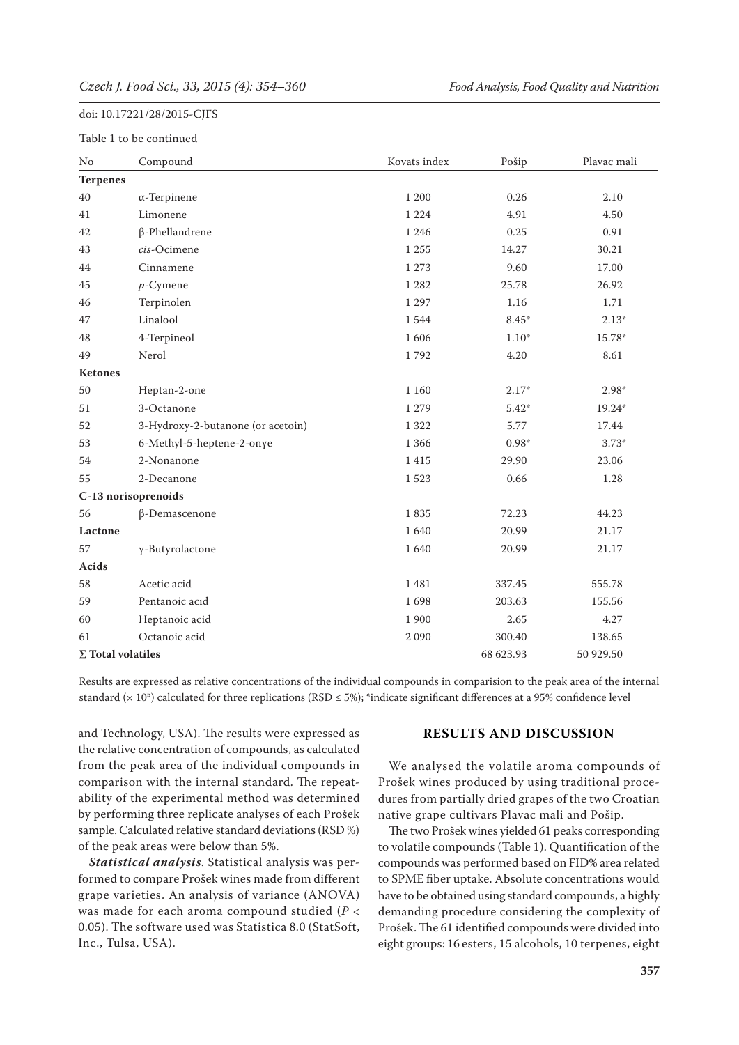#### Table 1 to be continued

| N <sub>o</sub>           | Compound                          | Kovats index | Pošip     | Plavac mali |
|--------------------------|-----------------------------------|--------------|-----------|-------------|
| <b>Terpenes</b>          |                                   |              |           |             |
| 40                       | $\alpha$ -Terpinene               | 1 200        | 0.26      | 2.10        |
| 41                       | Limonene                          | 1 2 2 4      | 4.91      | 4.50        |
| 42                       | $\beta$ -Phellandrene             | 1 2 4 6      | 0.25      | 0.91        |
| 43                       | cis-Ocimene                       | 1 2 5 5      | 14.27     | 30.21       |
| 44                       | Cinnamene                         | 1 2 7 3      | 9.60      | 17.00       |
| 45                       | $p$ -Cymene                       | 1 2 8 2      | 25.78     | 26.92       |
| 46                       | Terpinolen                        | 1 2 9 7      | 1.16      | 1.71        |
| 47                       | Linalool                          | 1544         | 8.45*     | $2.13*$     |
| 48                       | 4-Terpineol                       | 1606         | $1.10*$   | 15.78*      |
| 49                       | Nerol                             | 1792         | 4.20      | 8.61        |
| Ketones                  |                                   |              |           |             |
| 50                       | Heptan-2-one                      | 1 1 6 0      | $2.17*$   | $2.98*$     |
| 51                       | 3-Octanone                        | 1 2 7 9      | $5.42*$   | 19.24*      |
| 52                       | 3-Hydroxy-2-butanone (or acetoin) | 1 3 2 2      | 5.77      | 17.44       |
| 53                       | 6-Methyl-5-heptene-2-onye         | 1 3 6 6      | $0.98*$   | $3.73*$     |
| 54                       | 2-Nonanone                        | 1415         | 29.90     | 23.06       |
| 55                       | 2-Decanone                        | 1523         | 0.66      | 1.28        |
|                          | C-13 norisoprenoids               |              |           |             |
| 56                       | β-Demascenone                     | 1835         | 72.23     | 44.23       |
| Lactone                  |                                   | 1640         | 20.99     | 21.17       |
| 57                       | γ-Butyrolactone                   | 1640         | 20.99     | 21.17       |
| <b>Acids</b>             |                                   |              |           |             |
| 58                       | Acetic acid                       | 1481         | 337.45    | 555.78      |
| 59                       | Pentanoic acid                    | 1698         | 203.63    | 155.56      |
| 60                       | Heptanoic acid                    | 1 900        | 2.65      | 4.27        |
| 61                       | Octanoic acid                     | 2090         | 300.40    | 138.65      |
| $\Sigma$ Total volatiles |                                   |              | 68 623.93 | 50 929.50   |

Results are expressed as relative concentrations of the individual compounds in comparision to the peak area of the internal standard ( $\times$  10<sup>5</sup>) calculated for three replications (RSD  $\leq$  5%); \*indicate significant differences at a 95% confidence level

and Technology, USA). The results were expressed as the relative concentration of compounds, as calculated from the peak area of the individual compounds in comparison with the internal standard. The repeatability of the experimental method was determined by performing three replicate analyses of each Prošek sample. Calculated relative standard deviations (RSD %) of the peak areas were below than 5%.

*Statistical analysis*. Statistical analysis was performed to compare Prošek wines made from different grape varieties. An analysis of variance (ANOVA) was made for each aroma compound studied (*P* < 0.05). The software used was Statistica 8.0 (StatSoft, Inc., Tulsa, USA).

#### **RESULTS AND DISCUSSION**

We analysed the volatile aroma compounds of Prošek wines produced by using traditional procedures from partially dried grapes of the two Croatian native grape cultivars Plavac mali and Pošip.

The two Prošek wines yielded 61 peaks corresponding to volatile compounds (Table 1). Quantification of the compounds was performed based on FID% area related to SPME fiber uptake. Absolute concentrations would have to be obtained using standard compounds, a highly demanding procedure considering the complexity of Prošek. The 61 identified compounds were divided into eight groups: 16 esters, 15 alcohols, 10 terpenes, eight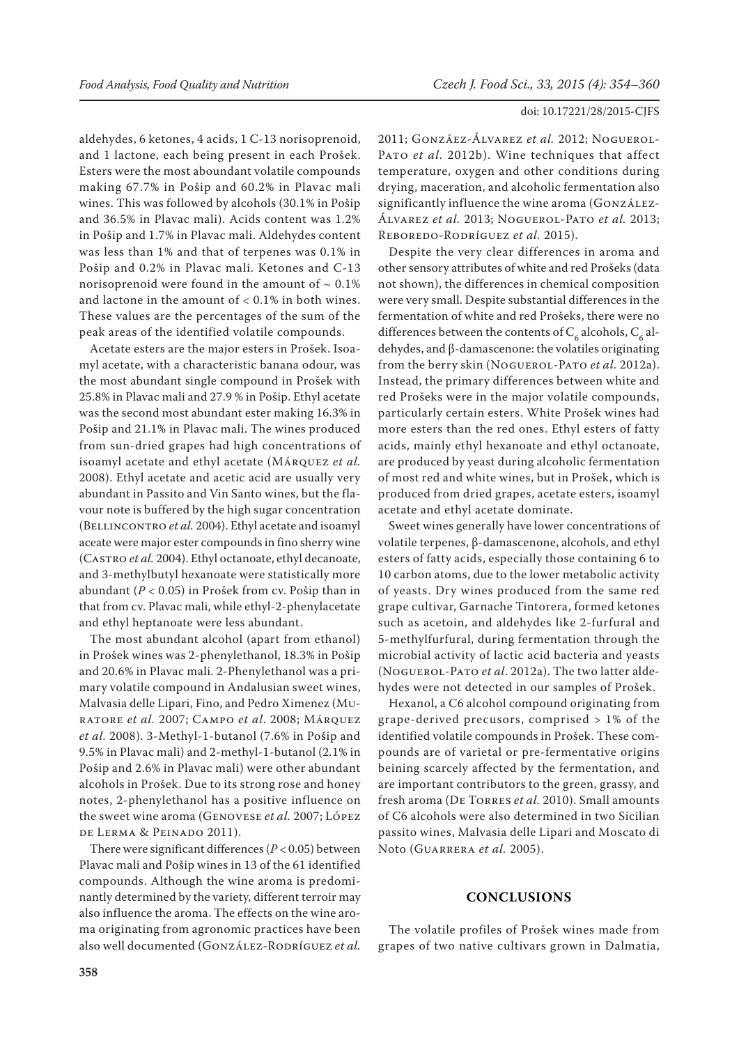aldehydes, 6 ketones, 4 acids, 1 C-13 norisoprenoid, and 1 lactone, each being present in each Prošek. Esters were the most aboundant volatile compounds making 67.7% in Pošip and 60.2% in Plavac mali wines. This was followed by alcohols (30.1% in Pošip and 36.5% in Plavac mali). Acids content was 1.2% in Pošip and 1.7% in Plavac mali. Aldehydes content was less than 1% and that of terpenes was 0.1% in Pošip and 0.2% in Plavac mali. Ketones and C-13 norisoprenoid were found in the amount of  $\sim 0.1\%$ and lactone in the amount of < 0.1% in both wines. These values are the percentages of the sum of the peak areas of the identified volatile compounds.

Acetate esters are the major esters in Prošek. Isoamyl acetate, with a characteristic banana odour, was the most abundant single compound in Prošek with 25.8% in Plavac mali and 27.9 % in Pošip. Ethyl acetate was the second most abundant ester making 16.3% in Pošip and 21.1% in Plavac mali. The wines produced from sun-dried grapes had high concentrations of isoamyl acetate and ethyl acetate (Márquez *et al.* 2008). Ethyl acetate and acetic acid are usually very abundant in Passito and Vin Santo wines, but the flavour note is buffered by the high sugar concentration (Bellincontro *et al.* 2004). Ethyl acetate and isoamyl aceate were major ester compounds in fino sherry wine (Castro *et al.* 2004). Ethyl octanoate, ethyl decanoate, and 3-methylbutyl hexanoate were statistically more abundant (*P* < 0.05) in Prošek from cv. Pošip than in that from cv. Plavac mali, while ethyl-2-phenylacetate and ethyl heptanoate were less abundant.

The most abundant alcohol (apart from ethanol) in Prošek wines was 2-phenylethanol, 18.3% in Pošip and 20.6% in Plavac mali. 2-Phenylethanol was a primary volatile compound in Andalusian sweet wines, Malvasia delle Lipari, Fino, and Pedro Ximenez (Muratore *et al.* 2007; Campo *et al*. 2008; Márquez *et al.* 2008). 3-Methyl-1-butanol (7.6% in Pošip and 9.5% in Plavac mali) and 2-methyl-1-butanol (2.1% in Pošip and 2.6% in Plavac mali) were other abundant alcohols in Prošek. Due to its strong rose and honey notes, 2-phenylethanol has a positive influence on the sweet wine aroma (Genovese *et al.* 2007; López de Lerma & Peinado 2011).

There were significant differences (*P* < 0.05) between Plavac mali and Pošip wines in 13 of the 61 identified compounds. Although the wine aroma is predominantly determined by the variety, different terroir may also influence the aroma. The effects on the wine aroma originating from agronomic practices have been also well documented (GONZÁLEZ-RODRÍGUEZ et al. 2011; Gonzáez-Álvarez *et al.* 2012; Noguerol-PATO *et al.* 2012b). Wine techniques that affect temperature, oxygen and other conditions during drying, maceration, and alcoholic fermentation also significantly influence the wine aroma (GONZÁLEZ-Álvarez *et al.* 2013; Noguerol-Pato *et al.* 2013; Reboredo-Rodríguez *et al.* 2015).

Despite the very clear differences in aroma and other sensory attributes of white and red Prošeks (data not shown), the differences in chemical composition were very small. Despite substantial differences in the fermentation of white and red Prošeks, there were no differences between the contents of  $C_6$  alcohols,  $C_6$  aldehydes, and β-damascenone: the volatiles originating from the berry skin (Noguerol-Pato *et al.* 2012a). Instead, the primary differences between white and red Prošeks were in the major volatile compounds, particularly certain esters. White Prošek wines had more esters than the red ones. Ethyl esters of fatty acids, mainly ethyl hexanoate and ethyl octanoate, are produced by yeast during alcoholic fermentation of most red and white wines, but in Prošek, which is produced from dried grapes, acetate esters, isoamyl acetate and ethyl acetate dominate.

Sweet wines generally have lower concentrations of volatile terpenes, β-damascenone, alcohols, and ethyl esters of fatty acids, especially those containing 6 to 10 carbon atoms, due to the lower metabolic activity of yeasts. Dry wines produced from the same red grape cultivar, Garnache Tintorera, formed ketones such as acetoin, and aldehydes like 2-furfural and 5-methylfurfural, during fermentation through the microbial activity of lactic acid bacteria and yeasts (Noguerol-Pato *et al*. 2012a). The two latter aldehydes were not detected in our samples of Prošek.

Hexanol, a C6 alcohol compound originating from grape-derived precusors, comprised > 1% of the identified volatile compounds in Prošek. These compounds are of varietal or pre-fermentative origins beining scarcely affected by the fermentation, and are important contributors to the green, grassy, and fresh aroma (De Torres *et al.* 2010). Small amounts of C6 alcohols were also determined in two Sicilian passito wines, Malvasia delle Lipari and Moscato di Noto (Guarrera *et al.* 2005).

## **CONCLUSIONS**

The volatile profiles of Prošek wines made from grapes of two native cultivars grown in Dalmatia,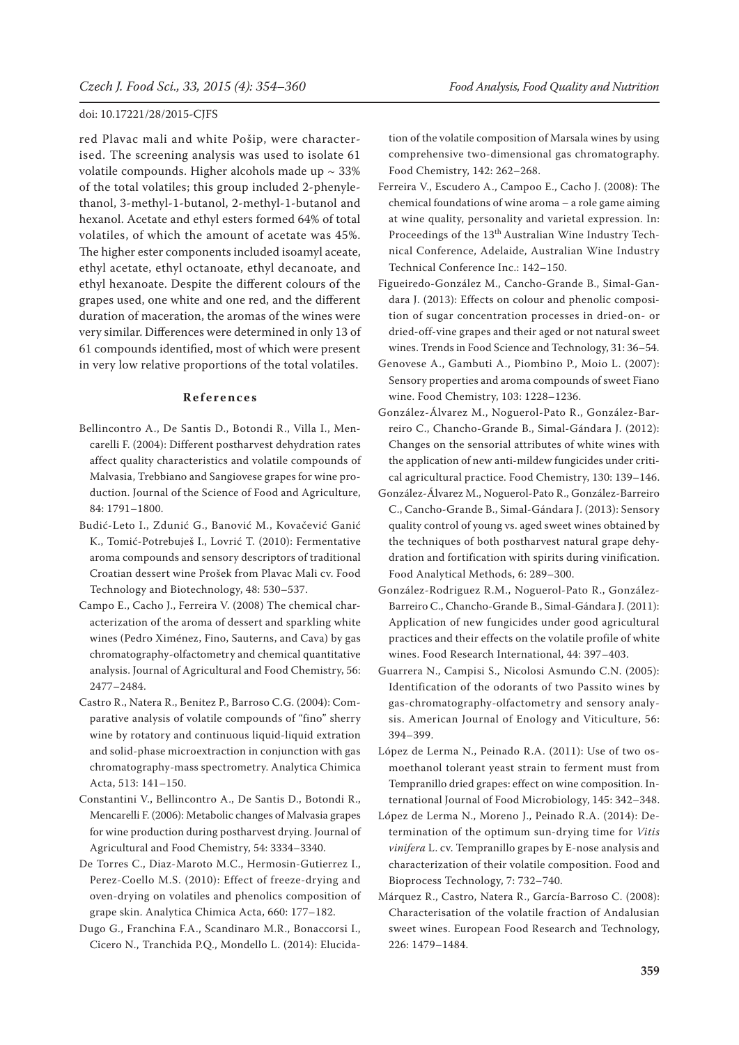red Plavac mali and white Pošip, were characterised. The screening analysis was used to isolate 61 volatile compounds. Higher alcohols made up  $\sim$  33% of the total volatiles; this group included 2-phenylethanol, 3-methyl-1-butanol, 2-methyl-1-butanol and hexanol. Acetate and ethyl esters formed 64% of total volatiles, of which the amount of acetate was 45%. The higher ester components included isoamyl aceate, ethyl acetate, ethyl octanoate, ethyl decanoate, and ethyl hexanoate. Despite the different colours of the grapes used, one white and one red, and the different duration of maceration, the aromas of the wines were very similar. Differences were determined in only 13 of 61 compounds identified, most of which were present in very low relative proportions of the total volatiles.

#### **References**

- Bellincontro A., De Santis D., Botondi R., Villa I., Mencarelli F. (2004): Different postharvest dehydration rates affect quality characteristics and volatile compounds of Malvasia, Trebbiano and Sangiovese grapes for wine production. Journal of the Science of Food and Agriculture, 84: 1791–1800.
- Budić-Leto I., Zdunić G., Banović M., Kovačević Ganić K., Tomić-Potrebuješ I., Lovrić T. (2010): Fermentative aroma compounds and sensory descriptors of traditional Croatian dessert wine Prošek from Plavac Mali cv. Food Technology and Biotechnology, 48: 530–537.
- Campo E., Cacho J., Ferreira V. (2008) The chemical characterization of the aroma of dessert and sparkling white wines (Pedro Ximénez, Fino, Sauterns, and Cava) by gas chromatography-olfactometry and chemical quantitative analysis. Journal of Agricultural and Food Chemistry, 56: 2477–2484.
- Castro R., Natera R., Benitez P., Barroso C.G. (2004): Comparative analysis of volatile compounds of "fino" sherry wine by rotatory and continuous liquid-liquid extration and solid-phase microextraction in conjunction with gas chromatography-mass spectrometry. Analytica Chimica Acta, 513: 141–150.
- Constantini V., Bellincontro A., De Santis D., Botondi R., Mencarelli F. (2006): Metabolic changes of Malvasia grapes for wine production during postharvest drying. Journal of Agricultural and Food Chemistry, 54: 3334–3340.
- De Torres C., Diaz-Maroto M.C., Hermosin-Gutierrez I., Perez-Coello M.S. (2010): Effect of freeze-drying and oven-drying on volatiles and phenolics composition of grape skin. Analytica Chimica Acta, 660: 177–182.
- Dugo G., Franchina F.A., Scandinaro M.R., Bonaccorsi I., Cicero N., Tranchida P.Q., Mondello L. (2014): Elucida-

tion of the volatile composition of Marsala wines by using comprehensive two-dimensional gas chromatography. Food Chemistry, 142: 262–268.

- Ferreira V., Escudero A., Campoo E., Cacho J. (2008): The chemical foundations of wine aroma – a role game aiming at wine quality, personality and varietal expression. In: Proceedings of the 13<sup>th</sup> Australian Wine Industry Technical Conference, Adelaide, Australian Wine Industry Technical Conference Inc.: 142–150.
- Figueiredo-González M., Cancho-Grande B., Simal-Gandara J. (2013): Effects on colour and phenolic composition of sugar concentration processes in dried-on- or dried-off-vine grapes and their aged or not natural sweet wines. Trends in Food Science and Technology, 31: 36–54.
- Genovese A., Gambuti A., Piombino P., Moio L. (2007): Sensory properties and aroma compounds of sweet Fiano wine. Food Chemistry, 103: 1228–1236.
- González-Álvarez M., Noguerol-Pato R., González-Barreiro C., Chancho-Grande B., Simal-Gándara J. (2012): Changes on the sensorial attributes of white wines with the application of new anti-mildew fungicides under critical agricultural practice. Food Chemistry, 130: 139–146.
- González-Álvarez M., Noguerol-Pato R., González-Barreiro C., Cancho-Grande B., Simal-Gándara J. (2013): Sensory quality control of young vs. aged sweet wines obtained by the techniques of both postharvest natural grape dehydration and fortification with spirits during vinification. Food Analytical Methods, 6: 289–300.
- González-Rodriguez R.M., Noguerol-Pato R., González-Barreiro C., Chancho-Grande B., Simal-Gándara J. (2011): Application of new fungicides under good agricultural practices and their effects on the volatile profile of white wines. Food Research International, 44: 397–403.
- Guarrera N., Campisi S., Nicolosi Asmundo C.N. (2005): Identification of the odorants of two Passito wines by gas-chromatography-olfactometry and sensory analysis. American Journal of Enology and Viticulture, 56: 394–399.
- López de Lerma N., Peinado R.A. (2011): Use of two osmoethanol tolerant yeast strain to ferment must from Tempranillo dried grapes: effect on wine composition. International Journal of Food Microbiology, 145: 342–348.
- López de Lerma N., Moreno J., Peinado R.A. (2014): Determination of the optimum sun-drying time for *Vitis vinifera* L. cv. Tempranillo grapes by E-nose analysis and characterization of their volatile composition. Food and Bioprocess Technology, 7: 732–740.
- Márquez R., Castro, Natera R., García-Barroso C. (2008): Characterisation of the volatile fraction of Andalusian sweet wines. European Food Research and Technology, 226: 1479–1484.